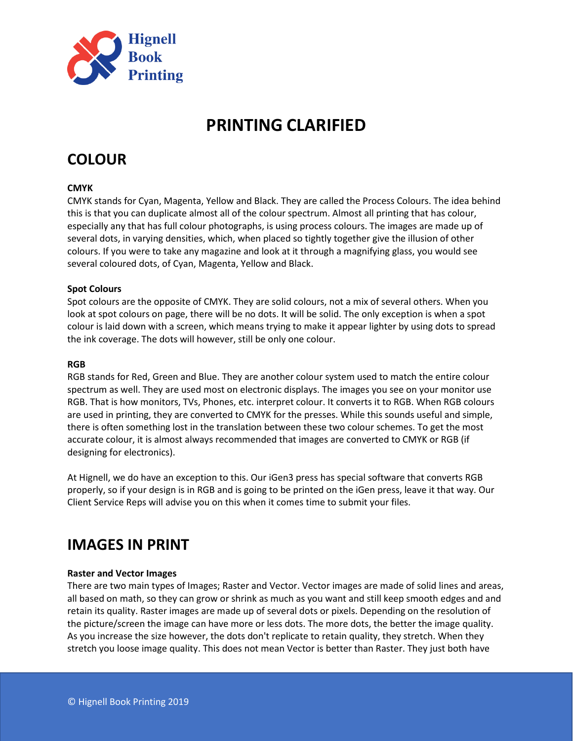

# **PRINTING CLARIFIED**

# **COLOUR**

# **CMYK**

CMYK stands for Cyan, Magenta, Yellow and Black. They are called the Process Colours. The idea behind this is that you can duplicate almost all of the colour spectrum. Almost all printing that has colour, especially any that has full colour photographs, is using process colours. The images are made up of several dots, in varying densities, which, when placed so tightly together give the illusion of other colours. If you were to take any magazine and look at it through a magnifying glass, you would see several coloured dots, of Cyan, Magenta, Yellow and Black.

# **Spot Colours**

Spot colours are the opposite of CMYK. They are solid colours, not a mix of several others. When you look at spot colours on page, there will be no dots. It will be solid. The only exception is when a spot colour is laid down with a screen, which means trying to make it appear lighter by using dots to spread the ink coverage. The dots will however, still be only one colour.

## **RGB**

RGB stands for Red, Green and Blue. They are another colour system used to match the entire colour spectrum as well. They are used most on electronic displays. The images you see on your monitor use RGB. That is how monitors, TVs, Phones, etc. interpret colour. It converts it to RGB. When RGB colours are used in printing, they are converted to CMYK for the presses. While this sounds useful and simple, there is often something lost in the translation between these two colour schemes. To get the most accurate colour, it is almost always recommended that images are converted to CMYK or RGB (if designing for electronics).

At Hignell, we do have an exception to this. Our iGen3 press has special software that converts RGB properly, so if your design is in RGB and is going to be printed on the iGen press, leave it that way. Our Client Service Reps will advise you on this when it comes time to submit your files.

# **IMAGES IN PRINT**

# **Raster and Vector Images**

There are two main types of Images; Raster and Vector. Vector images are made of solid lines and areas, all based on math, so they can grow or shrink as much as you want and still keep smooth edges and and retain its quality. Raster images are made up of several dots or pixels. Depending on the resolution of the picture/screen the image can have more or less dots. The more dots, the better the image quality. As you increase the size however, the dots don't replicate to retain quality, they stretch. When they stretch you loose image quality. This does not mean Vector is better than Raster. They just both have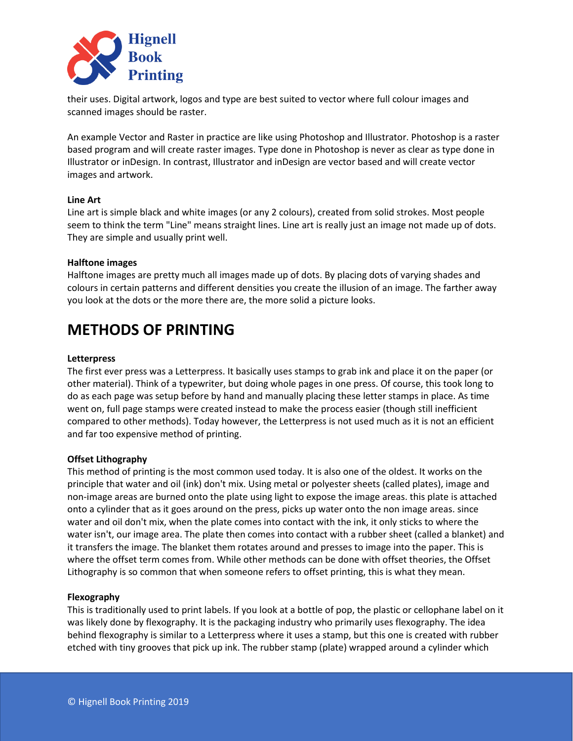

their uses. Digital artwork, logos and type are best suited to vector where full colour images and scanned images should be raster.

An example Vector and Raster in practice are like using Photoshop and Illustrator. Photoshop is a raster based program and will create raster images. Type done in Photoshop is never as clear as type done in Illustrator or inDesign. In contrast, Illustrator and inDesign are vector based and will create vector images and artwork.

## **Line Art**

Line art is simple black and white images (or any 2 colours), created from solid strokes. Most people seem to think the term "Line" means straight lines. Line art is really just an image not made up of dots. They are simple and usually print well.

## **Halftone images**

Halftone images are pretty much all images made up of dots. By placing dots of varying shades and colours in certain patterns and different densities you create the illusion of an image. The farther away you look at the dots or the more there are, the more solid a picture looks.

# **METHODS OF PRINTING**

#### **Letterpress**

The first ever press was a Letterpress. It basically uses stamps to grab ink and place it on the paper (or other material). Think of a typewriter, but doing whole pages in one press. Of course, this took long to do as each page was setup before by hand and manually placing these letter stamps in place. As time went on, full page stamps were created instead to make the process easier (though still inefficient compared to other methods). Today however, the Letterpress is not used much as it is not an efficient and far too expensive method of printing.

#### **Offset Lithography**

This method of printing is the most common used today. It is also one of the oldest. It works on the principle that water and oil (ink) don't mix. Using metal or polyester sheets (called plates), image and non-image areas are burned onto the plate using light to expose the image areas. this plate is attached onto a cylinder that as it goes around on the press, picks up water onto the non image areas. since water and oil don't mix, when the plate comes into contact with the ink, it only sticks to where the water isn't, our image area. The plate then comes into contact with a rubber sheet (called a blanket) and it transfers the image. The blanket them rotates around and presses to image into the paper. This is where the offset term comes from. While other methods can be done with offset theories, the Offset Lithography is so common that when someone refers to offset printing, this is what they mean.

#### **Flexography**

This is traditionally used to print labels. If you look at a bottle of pop, the plastic or cellophane label on it was likely done by flexography. It is the packaging industry who primarily uses flexography. The idea behind flexography is similar to a Letterpress where it uses a stamp, but this one is created with rubber etched with tiny grooves that pick up ink. The rubber stamp (plate) wrapped around a cylinder which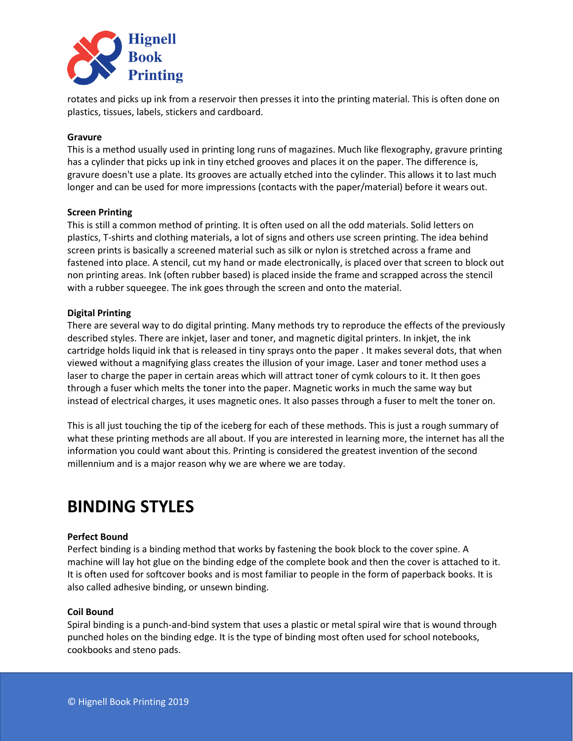

rotates and picks up ink from a reservoir then presses it into the printing material. This is often done on plastics, tissues, labels, stickers and cardboard.

# **Gravure**

This is a method usually used in printing long runs of magazines. Much like flexography, gravure printing has a cylinder that picks up ink in tiny etched grooves and places it on the paper. The difference is, gravure doesn't use a plate. Its grooves are actually etched into the cylinder. This allows it to last much longer and can be used for more impressions (contacts with the paper/material) before it wears out.

#### **Screen Printing**

This is still a common method of printing. It is often used on all the odd materials. Solid letters on plastics, T-shirts and clothing materials, a lot of signs and others use screen printing. The idea behind screen prints is basically a screened material such as silk or nylon is stretched across a frame and fastened into place. A stencil, cut my hand or made electronically, is placed over that screen to block out non printing areas. Ink (often rubber based) is placed inside the frame and scrapped across the stencil with a rubber squeegee. The ink goes through the screen and onto the material.

# **Digital Printing**

There are several way to do digital printing. Many methods try to reproduce the effects of the previously described styles. There are inkjet, laser and toner, and magnetic digital printers. In inkjet, the ink cartridge holds liquid ink that is released in tiny sprays onto the paper . It makes several dots, that when viewed without a magnifying glass creates the illusion of your image. Laser and toner method uses a laser to charge the paper in certain areas which will attract toner of cymk colours to it. It then goes through a fuser which melts the toner into the paper. Magnetic works in much the same way but instead of electrical charges, it uses magnetic ones. It also passes through a fuser to melt the toner on.

This is all just touching the tip of the iceberg for each of these methods. This is just a rough summary of what these printing methods are all about. If you are interested in learning more, the internet has all the information you could want about this. Printing is considered the greatest invention of the second millennium and is a major reason why we are where we are today.

# **BINDING STYLES**

# **Perfect Bound**

Perfect binding is a binding method that works by fastening the book block to the cover spine. A machine will lay hot glue on the binding edge of the complete book and then the cover is attached to it. It is often used for softcover books and is most familiar to people in the form of paperback books. It is also called adhesive binding, or unsewn binding.

#### **Coil Bound**

Spiral binding is a punch-and-bind system that uses a plastic or metal spiral wire that is wound through punched holes on the binding edge. It is the type of binding most often used for school notebooks, cookbooks and steno pads.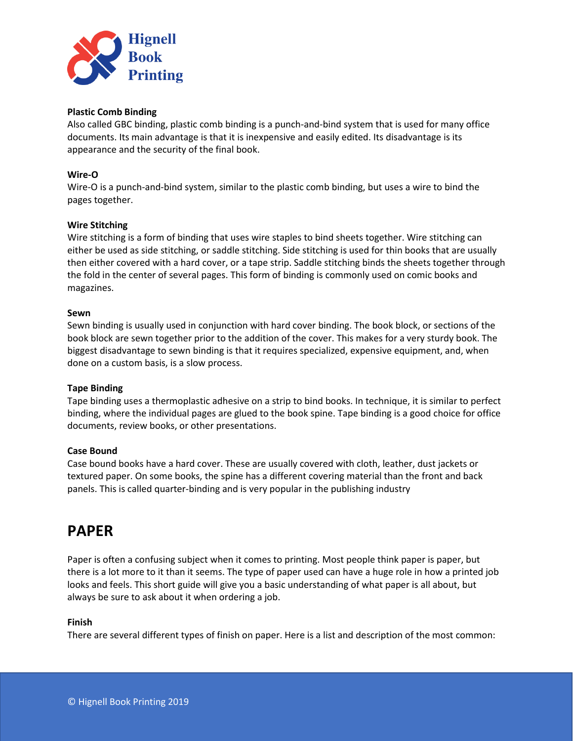

## **Plastic Comb Binding**

Also called GBC binding, plastic comb binding is a punch-and-bind system that is used for many office documents. Its main advantage is that it is inexpensive and easily edited. Its disadvantage is its appearance and the security of the final book.

# **Wire-O**

Wire-O is a punch-and-bind system, similar to the plastic comb binding, but uses a wire to bind the pages together.

## **Wire Stitching**

Wire stitching is a form of binding that uses wire staples to bind sheets together. Wire stitching can either be used as side stitching, or saddle stitching. Side stitching is used for thin books that are usually then either covered with a hard cover, or a tape strip. Saddle stitching binds the sheets together through the fold in the center of several pages. This form of binding is commonly used on comic books and magazines.

#### **Sewn**

Sewn binding is usually used in conjunction with hard cover binding. The book block, or sections of the book block are sewn together prior to the addition of the cover. This makes for a very sturdy book. The biggest disadvantage to sewn binding is that it requires specialized, expensive equipment, and, when done on a custom basis, is a slow process.

#### **Tape Binding**

Tape binding uses a thermoplastic adhesive on a strip to bind books. In technique, it is similar to perfect binding, where the individual pages are glued to the book spine. Tape binding is a good choice for office documents, review books, or other presentations.

#### **Case Bound**

Case bound books have a hard cover. These are usually covered with cloth, leather, dust jackets or textured paper. On some books, the spine has a different covering material than the front and back panels. This is called quarter-binding and is very popular in the publishing industry

# **PAPER**

Paper is often a confusing subject when it comes to printing. Most people think paper is paper, but there is a lot more to it than it seems. The type of paper used can have a huge role in how a printed job looks and feels. This short guide will give you a basic understanding of what paper is all about, but always be sure to ask about it when ordering a job.

#### **Finish**

There are several different types of finish on paper. Here is a list and description of the most common: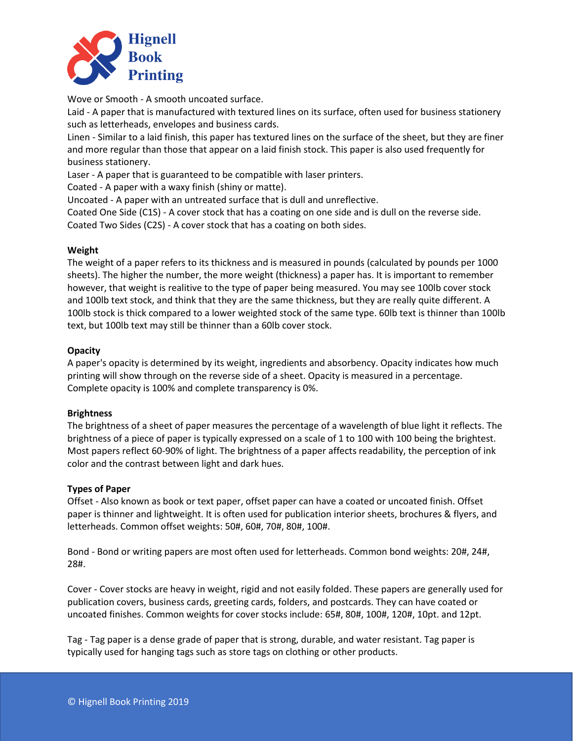

Wove or Smooth - A smooth uncoated surface.

Laid - A paper that is manufactured with textured lines on its surface, often used for business stationery such as letterheads, envelopes and business cards.

Linen - Similar to a laid finish, this paper has textured lines on the surface of the sheet, but they are finer and more regular than those that appear on a laid finish stock. This paper is also used frequently for business stationery.

Laser - A paper that is guaranteed to be compatible with laser printers.

Coated - A paper with a waxy finish (shiny or matte).

Uncoated - A paper with an untreated surface that is dull and unreflective.

Coated One Side (C1S) - A cover stock that has a coating on one side and is dull on the reverse side. Coated Two Sides (C2S) - A cover stock that has a coating on both sides.

# **Weight**

The weight of a paper refers to its thickness and is measured in pounds (calculated by pounds per 1000 sheets). The higher the number, the more weight (thickness) a paper has. It is important to remember however, that weight is realitive to the type of paper being measured. You may see 100lb cover stock and 100lb text stock, and think that they are the same thickness, but they are really quite different. A 100lb stock is thick compared to a lower weighted stock of the same type. 60lb text is thinner than 100lb text, but 100lb text may still be thinner than a 60lb cover stock.

# **Opacity**

A paper's opacity is determined by its weight, ingredients and absorbency. Opacity indicates how much printing will show through on the reverse side of a sheet. Opacity is measured in a percentage. Complete opacity is 100% and complete transparency is 0%.

# **Brightness**

The brightness of a sheet of paper measures the percentage of a wavelength of blue light it reflects. The brightness of a piece of paper is typically expressed on a scale of 1 to 100 with 100 being the brightest. Most papers reflect 60-90% of light. The brightness of a paper affects readability, the perception of ink color and the contrast between light and dark hues.

# **Types of Paper**

Offset - Also known as book or text paper, offset paper can have a coated or uncoated finish. Offset paper is thinner and lightweight. It is often used for publication interior sheets, brochures & flyers, and letterheads. Common offset weights: 50#, 60#, 70#, 80#, 100#.

Bond - Bond or writing papers are most often used for letterheads. Common bond weights: 20#, 24#, 28#.

Cover - Cover stocks are heavy in weight, rigid and not easily folded. These papers are generally used for publication covers, business cards, greeting cards, folders, and postcards. They can have coated or uncoated finishes. Common weights for cover stocks include: 65#, 80#, 100#, 120#, 10pt. and 12pt.

Tag - Tag paper is a dense grade of paper that is strong, durable, and water resistant. Tag paper is typically used for hanging tags such as store tags on clothing or other products.